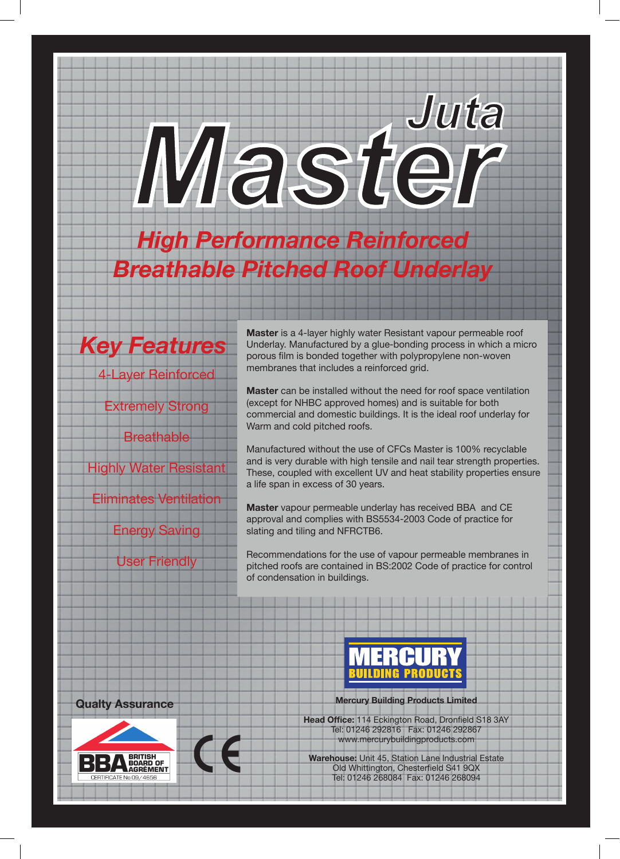# *MasterJuta*

*High Performance Reinforced Breathable Pitched Roof Underlay*



**Master** is a 4-layer highly water Resistant vapour permeable roof Underlay. Manufactured by a glue-bonding process in which a micro porous film is bonded together with polypropylene non-woven membranes that includes a reinforced grid.

**Master** can be installed without the need for roof space ventilation (except for NHBC approved homes) and is suitable for both commercial and domestic buildings. It is the ideal roof underlay for Warm and cold pitched roofs.

Manufactured without the use of CFCs Master is 100% recyclable and is very durable with high tensile and nail tear strength properties. These, coupled with excellent UV and heat stability properties ensure a life span in excess of 30 years.

**Master** vapour permeable underlay has received BBA and CE approval and complies with BS5534-2003 Code of practice for slating and tiling and NFRCTB6.

Recommendations for the use of vapour permeable membranes in pitched roofs are contained in BS:2002 Code of practice for control of condensation in buildings.





**Qualty Assurance Committee Accord Mercury Building Products Limited** 

**Head Office:** 114 Eckington Road, Dronfield S18 3AY Tel: 01246 292816 Fax: 01246 292867 www.mercurybuildingproducts.com

**Warehouse:** Unit 45, Station Lane Industrial Estate Old Whittington, Chesterfield S41 9QX Tel: 01246 268084 Fax: 01246 268094